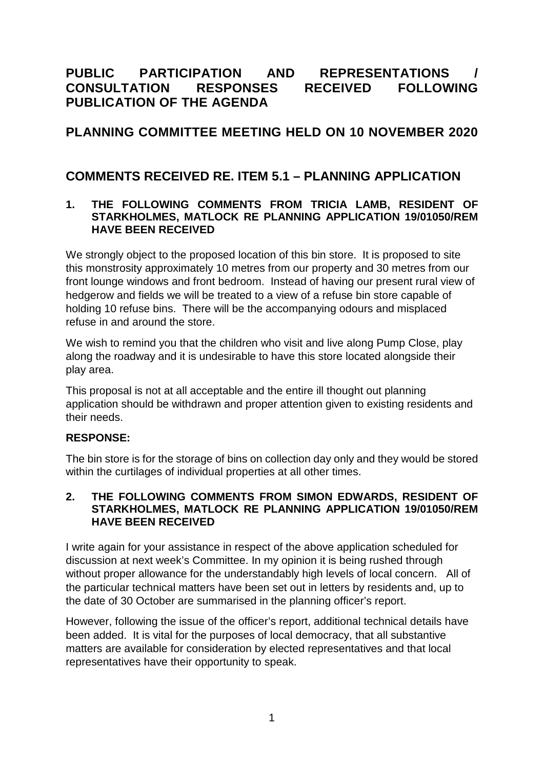# **PUBLIC PARTICIPATION AND REPRESENTATIONS / CONSULTATION RESPONSES RECEIVED FOLLOWING PUBLICATION OF THE AGENDA**

# **PLANNING COMMITTEE MEETING HELD ON 10 NOVEMBER 2020**

## **COMMENTS RECEIVED RE. ITEM 5.1 – PLANNING APPLICATION**

#### **1. THE FOLLOWING COMMENTS FROM TRICIA LAMB, RESIDENT OF STARKHOLMES, MATLOCK RE PLANNING APPLICATION 19/01050/REM HAVE BEEN RECEIVED**

We strongly object to the proposed location of this bin store. It is proposed to site this monstrosity approximately 10 metres from our property and 30 metres from our front lounge windows and front bedroom. Instead of having our present rural view of hedgerow and fields we will be treated to a view of a refuse bin store capable of holding 10 refuse bins. There will be the accompanying odours and misplaced refuse in and around the store.

We wish to remind you that the children who visit and live along Pump Close, play along the roadway and it is undesirable to have this store located alongside their play area.

This proposal is not at all acceptable and the entire ill thought out planning application should be withdrawn and proper attention given to existing residents and their needs.

#### **RESPONSE:**

The bin store is for the storage of bins on collection day only and they would be stored within the curtilages of individual properties at all other times.

#### **2. THE FOLLOWING COMMENTS FROM SIMON EDWARDS, RESIDENT OF STARKHOLMES, MATLOCK RE PLANNING APPLICATION 19/01050/REM HAVE BEEN RECEIVED**

I write again for your assistance in respect of the above application scheduled for discussion at next week's Committee. In my opinion it is being rushed through without proper allowance for the understandably high levels of local concern. All of the particular technical matters have been set out in letters by residents and, up to the date of 30 October are summarised in the planning officer's report.

However, following the issue of the officer's report, additional technical details have been added. It is vital for the purposes of local democracy, that all substantive matters are available for consideration by elected representatives and that local representatives have their opportunity to speak.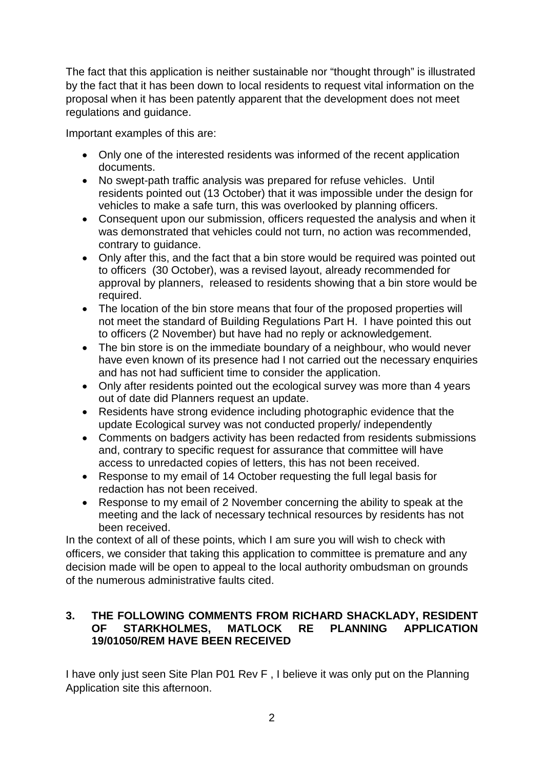The fact that this application is neither sustainable nor "thought through" is illustrated by the fact that it has been down to local residents to request vital information on the proposal when it has been patently apparent that the development does not meet regulations and guidance.

Important examples of this are:

- Only one of the interested residents was informed of the recent application documents.
- No swept-path traffic analysis was prepared for refuse vehicles. Until residents pointed out (13 October) that it was impossible under the design for vehicles to make a safe turn, this was overlooked by planning officers.
- Consequent upon our submission, officers requested the analysis and when it was demonstrated that vehicles could not turn, no action was recommended, contrary to guidance.
- Only after this, and the fact that a bin store would be required was pointed out to officers (30 October), was a revised layout, already recommended for approval by planners, released to residents showing that a bin store would be required.
- The location of the bin store means that four of the proposed properties will not meet the standard of Building Regulations Part H. I have pointed this out to officers (2 November) but have had no reply or acknowledgement.
- The bin store is on the immediate boundary of a neighbour, who would never have even known of its presence had I not carried out the necessary enquiries and has not had sufficient time to consider the application.
- Only after residents pointed out the ecological survey was more than 4 years out of date did Planners request an update.
- Residents have strong evidence including photographic evidence that the update Ecological survey was not conducted properly/ independently
- Comments on badgers activity has been redacted from residents submissions and, contrary to specific request for assurance that committee will have access to unredacted copies of letters, this has not been received.
- Response to my email of 14 October requesting the full legal basis for redaction has not been received.
- Response to my email of 2 November concerning the ability to speak at the meeting and the lack of necessary technical resources by residents has not been received.

In the context of all of these points, which I am sure you will wish to check with officers, we consider that taking this application to committee is premature and any decision made will be open to appeal to the local authority ombudsman on grounds of the numerous administrative faults cited.

### **3. THE FOLLOWING COMMENTS FROM RICHARD SHACKLADY, RESIDENT OF STARKHOLMES, MATLOCK RE PLANNING APPLICATION 19/01050/REM HAVE BEEN RECEIVED**

I have only just seen Site Plan P01 Rev F , I believe it was only put on the Planning Application site this afternoon.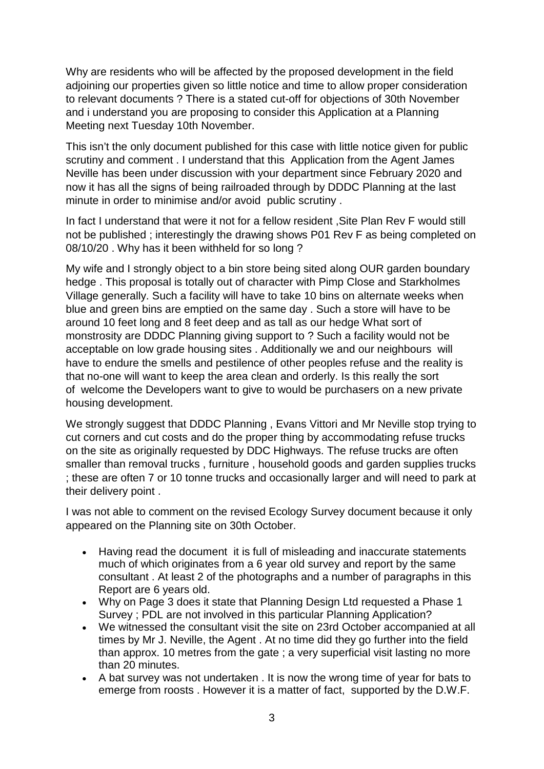Why are residents who will be affected by the proposed development in the field adjoining our properties given so little notice and time to allow proper consideration to relevant documents ? There is a stated cut-off for objections of 30th November and i understand you are proposing to consider this Application at a Planning Meeting next Tuesday 10th November.

This isn't the only document published for this case with little notice given for public scrutiny and comment . I understand that this Application from the Agent James Neville has been under discussion with your department since February 2020 and now it has all the signs of being railroaded through by DDDC Planning at the last minute in order to minimise and/or avoid public scrutiny .

In fact I understand that were it not for a fellow resident ,Site Plan Rev F would still not be published ; interestingly the drawing shows P01 Rev F as being completed on 08/10/20 . Why has it been withheld for so long ?

My wife and I strongly object to a bin store being sited along OUR garden boundary hedge . This proposal is totally out of character with Pimp Close and Starkholmes Village generally. Such a facility will have to take 10 bins on alternate weeks when blue and green bins are emptied on the same day . Such a store will have to be around 10 feet long and 8 feet deep and as tall as our hedge What sort of monstrosity are DDDC Planning giving support to ? Such a facility would not be acceptable on low grade housing sites . Additionally we and our neighbours will have to endure the smells and pestilence of other peoples refuse and the reality is that no-one will want to keep the area clean and orderly. Is this really the sort of welcome the Developers want to give to would be purchasers on a new private housing development.

We strongly suggest that DDDC Planning , Evans Vittori and Mr Neville stop trying to cut corners and cut costs and do the proper thing by accommodating refuse trucks on the site as originally requested by DDC Highways. The refuse trucks are often smaller than removal trucks , furniture , household goods and garden supplies trucks ; these are often 7 or 10 tonne trucks and occasionally larger and will need to park at their delivery point .

I was not able to comment on the revised Ecology Survey document because it only appeared on the Planning site on 30th October.

- Having read the document it is full of misleading and inaccurate statements much of which originates from a 6 year old survey and report by the same consultant . At least 2 of the photographs and a number of paragraphs in this Report are 6 years old.
- Why on Page 3 does it state that Planning Design Ltd requested a Phase 1 Survey ; PDL are not involved in this particular Planning Application?
- We witnessed the consultant visit the site on 23rd October accompanied at all times by Mr J. Neville, the Agent . At no time did they go further into the field than approx. 10 metres from the gate ; a very superficial visit lasting no more than 20 minutes.
- A bat survey was not undertaken . It is now the wrong time of year for bats to emerge from roosts . However it is a matter of fact, supported by the D.W.F.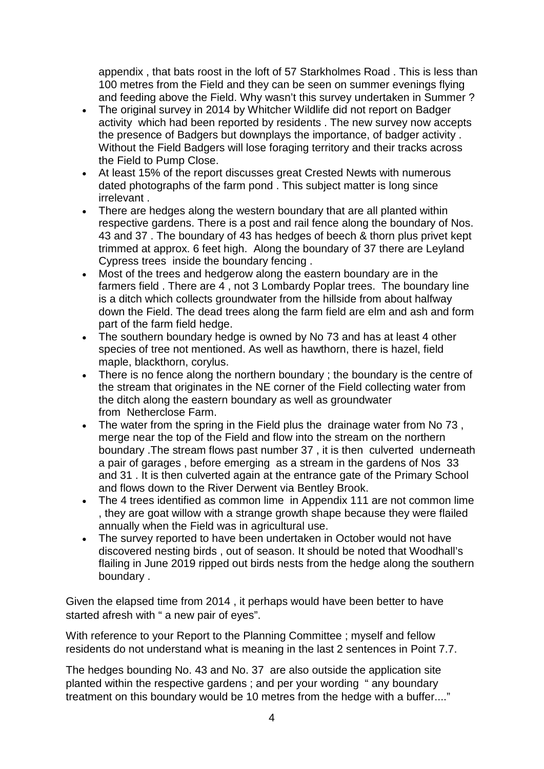appendix , that bats roost in the loft of 57 Starkholmes Road . This is less than 100 metres from the Field and they can be seen on summer evenings flying and feeding above the Field. Why wasn't this survey undertaken in Summer ?

- The original survey in 2014 by Whitcher Wildlife did not report on Badger activity which had been reported by residents . The new survey now accepts the presence of Badgers but downplays the importance, of badger activity . Without the Field Badgers will lose foraging territory and their tracks across the Field to Pump Close.
- At least 15% of the report discusses great Crested Newts with numerous dated photographs of the farm pond . This subject matter is long since irrelevant .
- There are hedges along the western boundary that are all planted within respective gardens. There is a post and rail fence along the boundary of Nos. 43 and 37 . The boundary of 43 has hedges of beech & thorn plus privet kept trimmed at approx. 6 feet high. Along the boundary of 37 there are Leyland Cypress trees inside the boundary fencing .
- Most of the trees and hedgerow along the eastern boundary are in the farmers field . There are 4 , not 3 Lombardy Poplar trees. The boundary line is a ditch which collects groundwater from the hillside from about halfway down the Field. The dead trees along the farm field are elm and ash and form part of the farm field hedge.
- The southern boundary hedge is owned by No 73 and has at least 4 other species of tree not mentioned. As well as hawthorn, there is hazel, field maple, blackthorn, corylus.
- There is no fence along the northern boundary ; the boundary is the centre of the stream that originates in the NE corner of the Field collecting water from the ditch along the eastern boundary as well as groundwater from Netherclose Farm.
- The water from the spring in the Field plus the drainage water from No 73 , merge near the top of the Field and flow into the stream on the northern boundary .The stream flows past number 37 , it is then culverted underneath a pair of garages , before emerging as a stream in the gardens of Nos 33 and 31 . It is then culverted again at the entrance gate of the Primary School and flows down to the River Derwent via Bentley Brook.
- The 4 trees identified as common lime in Appendix 111 are not common lime , they are goat willow with a strange growth shape because they were flailed annually when the Field was in agricultural use.
- The survey reported to have been undertaken in October would not have discovered nesting birds , out of season. It should be noted that Woodhall's flailing in June 2019 ripped out birds nests from the hedge along the southern boundary .

Given the elapsed time from 2014 , it perhaps would have been better to have started afresh with " a new pair of eyes".

With reference to your Report to the Planning Committee ; myself and fellow residents do not understand what is meaning in the last 2 sentences in Point 7.7.

The hedges bounding No. 43 and No. 37 are also outside the application site planted within the respective gardens ; and per your wording " any boundary treatment on this boundary would be 10 metres from the hedge with a buffer...."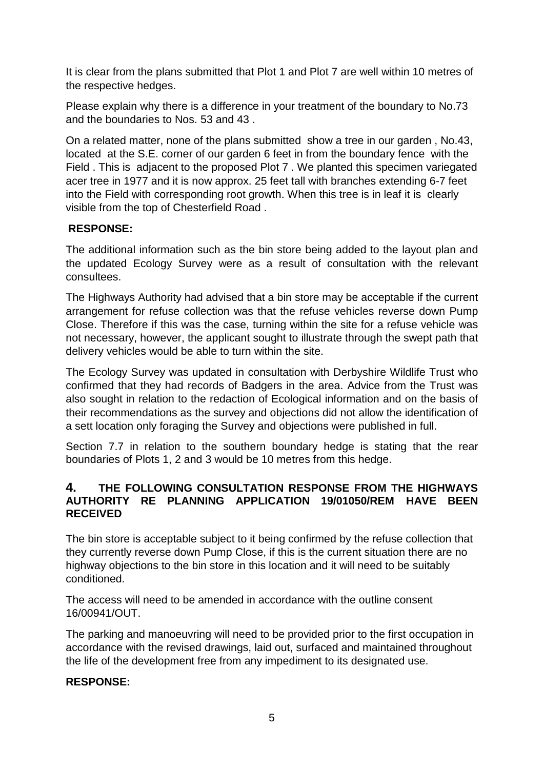It is clear from the plans submitted that Plot 1 and Plot 7 are well within 10 metres of the respective hedges.

Please explain why there is a difference in your treatment of the boundary to No.73 and the boundaries to Nos. 53 and 43 .

On a related matter, none of the plans submitted show a tree in our garden , No.43, located at the S.E. corner of our garden 6 feet in from the boundary fence with the Field . This is adjacent to the proposed Plot 7 . We planted this specimen variegated acer tree in 1977 and it is now approx. 25 feet tall with branches extending 6-7 feet into the Field with corresponding root growth. When this tree is in leaf it is clearly visible from the top of Chesterfield Road .

## **RESPONSE:**

The additional information such as the bin store being added to the layout plan and the updated Ecology Survey were as a result of consultation with the relevant consultees.

The Highways Authority had advised that a bin store may be acceptable if the current arrangement for refuse collection was that the refuse vehicles reverse down Pump Close. Therefore if this was the case, turning within the site for a refuse vehicle was not necessary, however, the applicant sought to illustrate through the swept path that delivery vehicles would be able to turn within the site.

The Ecology Survey was updated in consultation with Derbyshire Wildlife Trust who confirmed that they had records of Badgers in the area. Advice from the Trust was also sought in relation to the redaction of Ecological information and on the basis of their recommendations as the survey and objections did not allow the identification of a sett location only foraging the Survey and objections were published in full.

Section 7.7 in relation to the southern boundary hedge is stating that the rear boundaries of Plots 1, 2 and 3 would be 10 metres from this hedge.

#### **4. THE FOLLOWING CONSULTATION RESPONSE FROM THE HIGHWAYS AUTHORITY RE PLANNING APPLICATION 19/01050/REM HAVE BEEN RECEIVED**

The bin store is acceptable subject to it being confirmed by the refuse collection that they currently reverse down Pump Close, if this is the current situation there are no highway objections to the bin store in this location and it will need to be suitably conditioned.

The access will need to be amended in accordance with the outline consent 16/00941/OUT.

The parking and manoeuvring will need to be provided prior to the first occupation in accordance with the revised drawings, laid out, surfaced and maintained throughout the life of the development free from any impediment to its designated use.

## **RESPONSE:**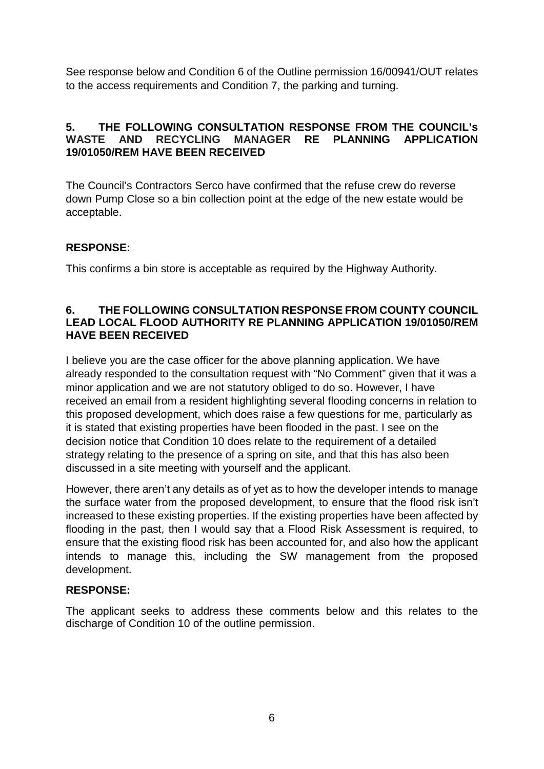See response below and Condition 6 of the Outline permission 16/00941/OUT relates to the access requirements and Condition 7, the parking and turning.

## **5. THE FOLLOWING CONSULTATION RESPONSE FROM THE COUNCIL's WASTE AND RECYCLING MANAGER RE PLANNING APPLICATION 19/01050/REM HAVE BEEN RECEIVED**

The Council's Contractors Serco have confirmed that the refuse crew do reverse down Pump Close so a bin collection point at the edge of the new estate would be acceptable.

## **RESPONSE:**

This confirms a bin store is acceptable as required by the Highway Authority.

#### **6. THE FOLLOWING CONSULTATION RESPONSE FROM COUNTY COUNCIL LEAD LOCAL FLOOD AUTHORITY RE PLANNING APPLICATION 19/01050/REM HAVE BEEN RECEIVED**

I believe you are the case officer for the above planning application. We have already responded to the consultation request with "No Comment" given that it was a minor application and we are not statutory obliged to do so. However, I have received an email from a resident highlighting several flooding concerns in relation to this proposed development, which does raise a few questions for me, particularly as it is stated that existing properties have been flooded in the past. I see on the decision notice that Condition 10 does relate to the requirement of a detailed strategy relating to the presence of a spring on site, and that this has also been discussed in a site meeting with yourself and the applicant.

However, there aren't any details as of yet as to how the developer intends to manage the surface water from the proposed development, to ensure that the flood risk isn't increased to these existing properties. If the existing properties have been affected by flooding in the past, then I would say that a Flood Risk Assessment is required, to ensure that the existing flood risk has been accounted for, and also how the applicant intends to manage this, including the SW management from the proposed development.

## **RESPONSE:**

The applicant seeks to address these comments below and this relates to the discharge of Condition 10 of the outline permission.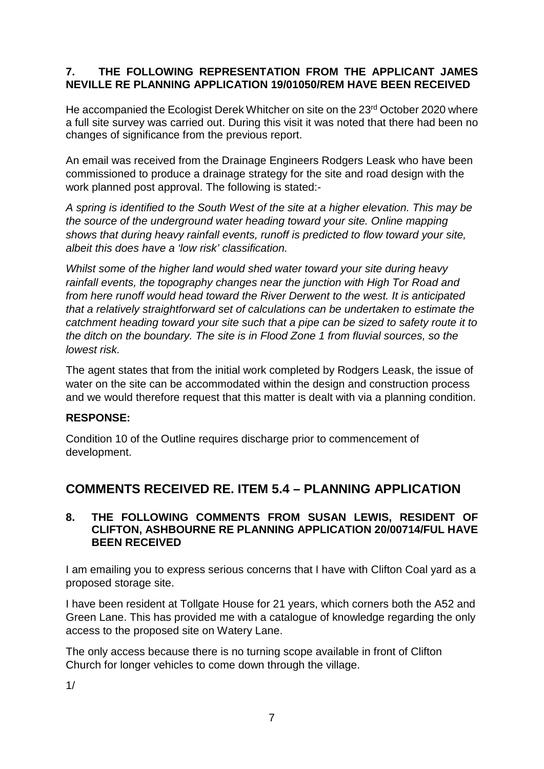## **7. THE FOLLOWING REPRESENTATION FROM THE APPLICANT JAMES NEVILLE RE PLANNING APPLICATION 19/01050/REM HAVE BEEN RECEIVED**

He accompanied the Ecologist Derek Whitcher on site on the 23<sup>rd</sup> October 2020 where a full site survey was carried out. During this visit it was noted that there had been no changes of significance from the previous report.

An email was received from the Drainage Engineers Rodgers Leask who have been commissioned to produce a drainage strategy for the site and road design with the work planned post approval. The following is stated:-

*A spring is identified to the South West of the site at a higher elevation. This may be the source of the underground water heading toward your site. Online mapping shows that during heavy rainfall events, runoff is predicted to flow toward your site, albeit this does have a 'low risk' classification.* 

*Whilst some of the higher land would shed water toward your site during heavy rainfall events, the topography changes near the junction with High Tor Road and from here runoff would head toward the River Derwent to the west. It is anticipated that a relatively straightforward set of calculations can be undertaken to estimate the catchment heading toward your site such that a pipe can be sized to safety route it to the ditch on the boundary. The site is in Flood Zone 1 from fluvial sources, so the lowest risk.*

The agent states that from the initial work completed by Rodgers Leask, the issue of water on the site can be accommodated within the design and construction process and we would therefore request that this matter is dealt with via a planning condition.

## **RESPONSE:**

Condition 10 of the Outline requires discharge prior to commencement of development.

# **COMMENTS RECEIVED RE. ITEM 5.4 – PLANNING APPLICATION**

#### **8. THE FOLLOWING COMMENTS FROM SUSAN LEWIS, RESIDENT OF CLIFTON, ASHBOURNE RE PLANNING APPLICATION 20/00714/FUL HAVE BEEN RECEIVED**

I am emailing you to express serious concerns that I have with Clifton Coal yard as a proposed storage site.

I have been resident at Tollgate House for 21 years, which corners both the A52 and Green Lane. This has provided me with a catalogue of knowledge regarding the only access to the proposed site on Watery Lane.

The only access because there is no turning scope available in front of Clifton Church for longer vehicles to come down through the village.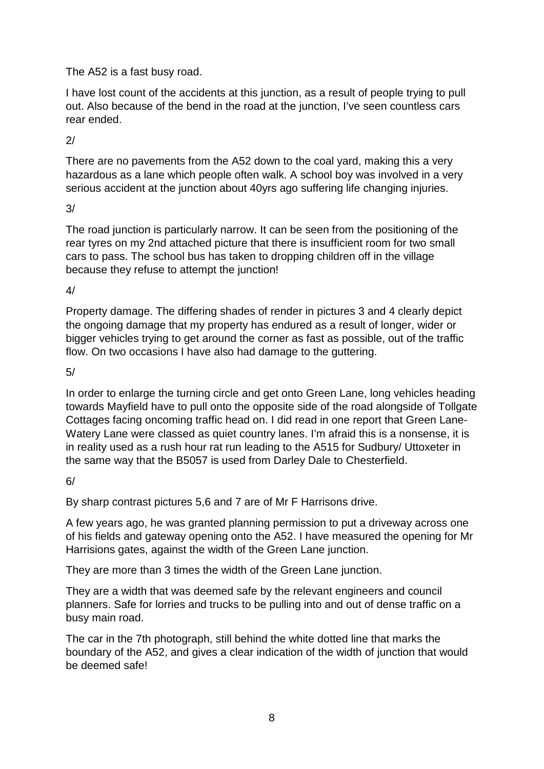The A52 is a fast busy road.

I have lost count of the accidents at this junction, as a result of people trying to pull out. Also because of the bend in the road at the junction, I've seen countless cars rear ended.

2/

There are no pavements from the A52 down to the coal yard, making this a very hazardous as a lane which people often walk. A school boy was involved in a very serious accident at the junction about 40yrs ago suffering life changing injuries.

3/

The road junction is particularly narrow. It can be seen from the positioning of the rear tyres on my 2nd attached picture that there is insufficient room for two small cars to pass. The school bus has taken to dropping children off in the village because they refuse to attempt the junction!

4/

Property damage. The differing shades of render in pictures 3 and 4 clearly depict the ongoing damage that my property has endured as a result of longer, wider or bigger vehicles trying to get around the corner as fast as possible, out of the traffic flow. On two occasions I have also had damage to the guttering.

5/

In order to enlarge the turning circle and get onto Green Lane, long vehicles heading towards Mayfield have to pull onto the opposite side of the road alongside of Tollgate Cottages facing oncoming traffic head on. I did read in one report that Green Lane-Watery Lane were classed as quiet country lanes. I'm afraid this is a nonsense, it is in reality used as a rush hour rat run leading to the A515 for Sudbury/ Uttoxeter in the same way that the B5057 is used from Darley Dale to Chesterfield.

 $6/$ 

By sharp contrast pictures 5,6 and 7 are of Mr F Harrisons drive.

A few years ago, he was granted planning permission to put a driveway across one of his fields and gateway opening onto the A52. I have measured the opening for Mr Harrisions gates, against the width of the Green Lane junction.

They are more than 3 times the width of the Green Lane junction.

They are a width that was deemed safe by the relevant engineers and council planners. Safe for lorries and trucks to be pulling into and out of dense traffic on a busy main road.

The car in the 7th photograph, still behind the white dotted line that marks the boundary of the A52, and gives a clear indication of the width of junction that would be deemed safe!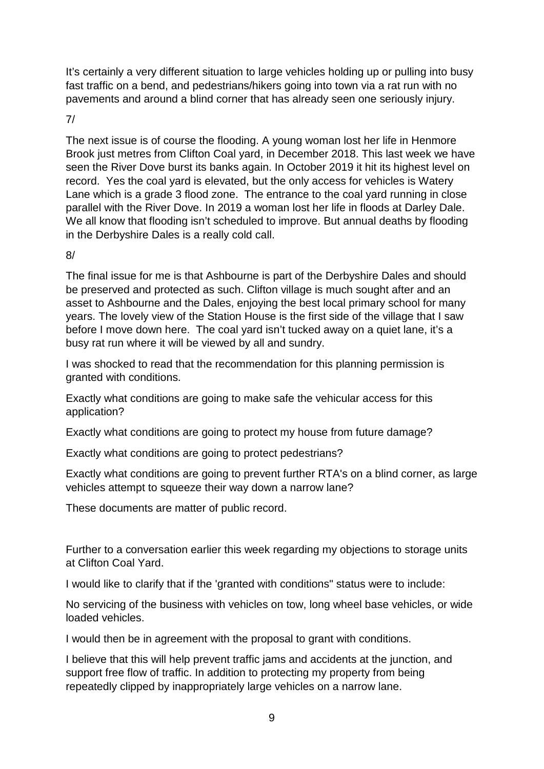It's certainly a very different situation to large vehicles holding up or pulling into busy fast traffic on a bend, and pedestrians/hikers going into town via a rat run with no pavements and around a blind corner that has already seen one seriously injury.

7/

The next issue is of course the flooding. A young woman lost her life in Henmore Brook just metres from Clifton Coal yard, in December 2018. This last week we have seen the River Dove burst its banks again. In October 2019 it hit its highest level on record. Yes the coal yard is elevated, but the only access for vehicles is Watery Lane which is a grade 3 flood zone. The entrance to the coal yard running in close parallel with the River Dove. In 2019 a woman lost her life in floods at Darley Dale. We all know that flooding isn't scheduled to improve. But annual deaths by flooding in the Derbyshire Dales is a really cold call.

### 8/

The final issue for me is that Ashbourne is part of the Derbyshire Dales and should be preserved and protected as such. Clifton village is much sought after and an asset to Ashbourne and the Dales, enjoying the best local primary school for many years. The lovely view of the Station House is the first side of the village that I saw before I move down here. The coal yard isn't tucked away on a quiet lane, it's a busy rat run where it will be viewed by all and sundry.

I was shocked to read that the recommendation for this planning permission is granted with conditions.

Exactly what conditions are going to make safe the vehicular access for this application?

Exactly what conditions are going to protect my house from future damage?

Exactly what conditions are going to protect pedestrians?

Exactly what conditions are going to prevent further RTA's on a blind corner, as large vehicles attempt to squeeze their way down a narrow lane?

These documents are matter of public record.

Further to a conversation earlier this week regarding my objections to storage units at Clifton Coal Yard.

I would like to clarify that if the 'granted with conditions" status were to include:

No servicing of the business with vehicles on tow, long wheel base vehicles, or wide loaded vehicles.

I would then be in agreement with the proposal to grant with conditions.

I believe that this will help prevent traffic jams and accidents at the junction, and support free flow of traffic. In addition to protecting my property from being repeatedly clipped by inappropriately large vehicles on a narrow lane.